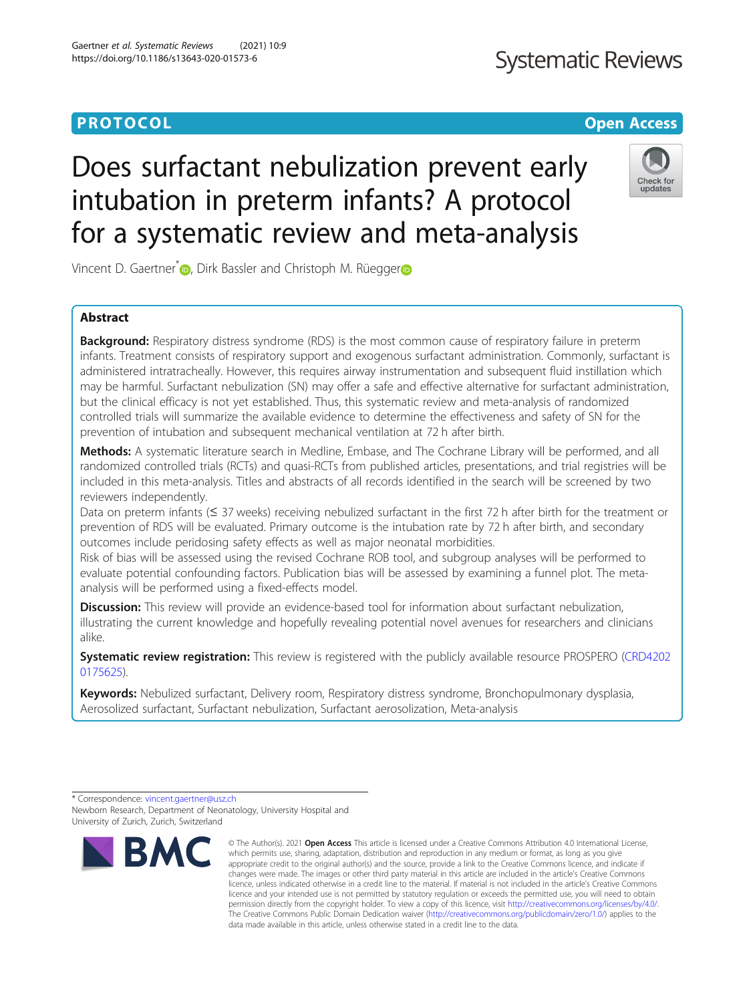## **PROTOCOL CONSUMING THE CONSUMING OPEN ACCESS**

## **Systematic Reviews**

# Does surfactant nebulization prevent early intubation in preterm infants? A protocol for a systematic review and meta-analysis



Vincent D. Gae[r](http://orcid.org/0000-0003-1496-2625)tner<sup>\*</sup><sup>D</sup>, Dirk Bassler and Christoph M. Rüegger<sup>D</sup>

### Abstract

**Background:** Respiratory distress syndrome (RDS) is the most common cause of respiratory failure in preterm infants. Treatment consists of respiratory support and exogenous surfactant administration. Commonly, surfactant is administered intratracheally. However, this requires airway instrumentation and subsequent fluid instillation which may be harmful. Surfactant nebulization (SN) may offer a safe and effective alternative for surfactant administration, but the clinical efficacy is not yet established. Thus, this systematic review and meta-analysis of randomized controlled trials will summarize the available evidence to determine the effectiveness and safety of SN for the prevention of intubation and subsequent mechanical ventilation at 72 h after birth.

Methods: A systematic literature search in Medline, Embase, and The Cochrane Library will be performed, and all randomized controlled trials (RCTs) and quasi-RCTs from published articles, presentations, and trial registries will be included in this meta-analysis. Titles and abstracts of all records identified in the search will be screened by two reviewers independently.

Data on preterm infants (≤ 37 weeks) receiving nebulized surfactant in the first 72 h after birth for the treatment or prevention of RDS will be evaluated. Primary outcome is the intubation rate by 72 h after birth, and secondary outcomes include peridosing safety effects as well as major neonatal morbidities.

Risk of bias will be assessed using the revised Cochrane ROB tool, and subgroup analyses will be performed to evaluate potential confounding factors. Publication bias will be assessed by examining a funnel plot. The metaanalysis will be performed using a fixed-effects model.

**Discussion:** This review will provide an evidence-based tool for information about surfactant nebulization, illustrating the current knowledge and hopefully revealing potential novel avenues for researchers and clinicians alike.

Systematic review registration: This review is registered with the publicly available resource PROSPERO [\(CRD4202](https://www.crd.york.ac.uk/PROSPERO/display_record.php?RecordID=175625) [0175625\)](https://www.crd.york.ac.uk/PROSPERO/display_record.php?RecordID=175625).

Keywords: Nebulized surfactant, Delivery room, Respiratory distress syndrome, Bronchopulmonary dysplasia, Aerosolized surfactant, Surfactant nebulization, Surfactant aerosolization, Meta-analysis

<sup>\*</sup> Correspondence: [vincent.gaertner@usz.ch](mailto:vincent.gaertner@usz.ch) Newborn Research, Department of Neonatology, University Hospital and University of Zurich, Zurich, Switzerland



<sup>©</sup> The Author(s), 2021 **Open Access** This article is licensed under a Creative Commons Attribution 4.0 International License, which permits use, sharing, adaptation, distribution and reproduction in any medium or format, as long as you give appropriate credit to the original author(s) and the source, provide a link to the Creative Commons licence, and indicate if changes were made. The images or other third party material in this article are included in the article's Creative Commons licence, unless indicated otherwise in a credit line to the material. If material is not included in the article's Creative Commons licence and your intended use is not permitted by statutory regulation or exceeds the permitted use, you will need to obtain permission directly from the copyright holder. To view a copy of this licence, visit [http://creativecommons.org/licenses/by/4.0/.](http://creativecommons.org/licenses/by/4.0/) The Creative Commons Public Domain Dedication waiver [\(http://creativecommons.org/publicdomain/zero/1.0/](http://creativecommons.org/publicdomain/zero/1.0/)) applies to the data made available in this article, unless otherwise stated in a credit line to the data.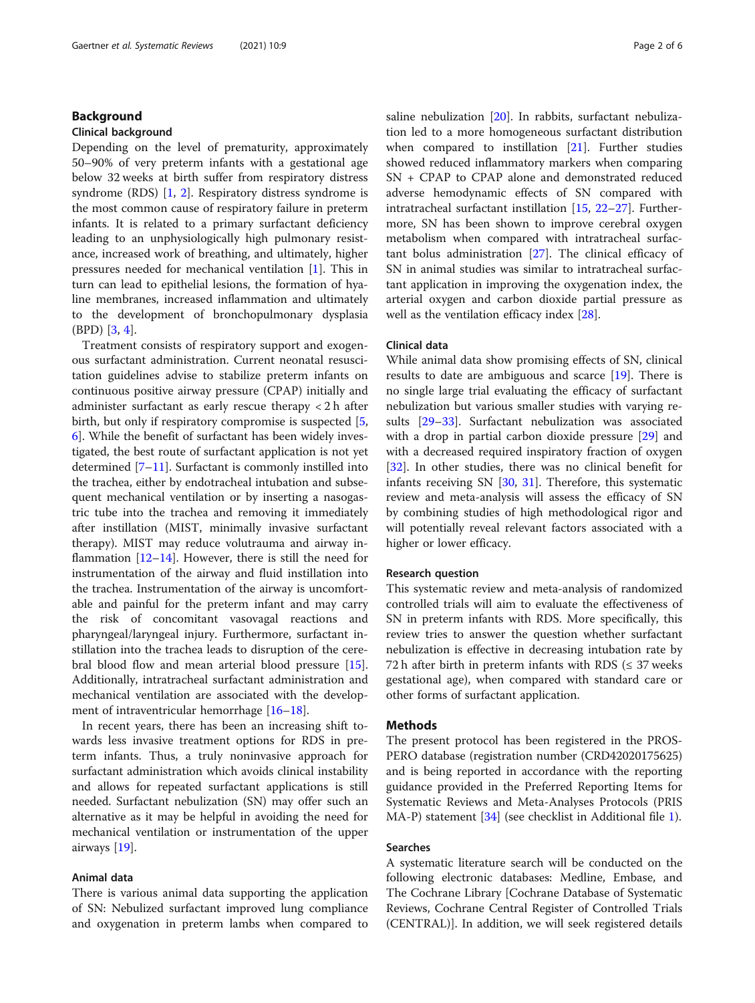#### Background

#### Clinical background

Depending on the level of prematurity, approximately 50–90% of very preterm infants with a gestational age below 32 weeks at birth suffer from respiratory distress syndrome (RDS) [[1,](#page-4-0) [2](#page-4-0)]. Respiratory distress syndrome is the most common cause of respiratory failure in preterm infants. It is related to a primary surfactant deficiency leading to an unphysiologically high pulmonary resistance, increased work of breathing, and ultimately, higher pressures needed for mechanical ventilation [[1\]](#page-4-0). This in turn can lead to epithelial lesions, the formation of hyaline membranes, increased inflammation and ultimately to the development of bronchopulmonary dysplasia (BPD) [[3,](#page-4-0) [4\]](#page-4-0).

Treatment consists of respiratory support and exogenous surfactant administration. Current neonatal resuscitation guidelines advise to stabilize preterm infants on continuous positive airway pressure (CPAP) initially and administer surfactant as early rescue therapy < 2 h after birth, but only if respiratory compromise is suspected [\[5](#page-4-0), [6\]](#page-4-0). While the benefit of surfactant has been widely investigated, the best route of surfactant application is not yet determined [[7](#page-4-0)–[11](#page-4-0)]. Surfactant is commonly instilled into the trachea, either by endotracheal intubation and subsequent mechanical ventilation or by inserting a nasogastric tube into the trachea and removing it immediately after instillation (MIST, minimally invasive surfactant therapy). MIST may reduce volutrauma and airway inflammation  $[12-14]$  $[12-14]$  $[12-14]$ . However, there is still the need for instrumentation of the airway and fluid instillation into the trachea. Instrumentation of the airway is uncomfortable and painful for the preterm infant and may carry the risk of concomitant vasovagal reactions and pharyngeal/laryngeal injury. Furthermore, surfactant instillation into the trachea leads to disruption of the cerebral blood flow and mean arterial blood pressure [\[15](#page-4-0)]. Additionally, intratracheal surfactant administration and mechanical ventilation are associated with the develop-ment of intraventricular hemorrhage [\[16](#page-4-0)–[18\]](#page-4-0).

In recent years, there has been an increasing shift towards less invasive treatment options for RDS in preterm infants. Thus, a truly noninvasive approach for surfactant administration which avoids clinical instability and allows for repeated surfactant applications is still needed. Surfactant nebulization (SN) may offer such an alternative as it may be helpful in avoiding the need for mechanical ventilation or instrumentation of the upper airways [[19\]](#page-4-0).

#### Animal data

There is various animal data supporting the application of SN: Nebulized surfactant improved lung compliance and oxygenation in preterm lambs when compared to saline nebulization [[20\]](#page-5-0). In rabbits, surfactant nebulization led to a more homogeneous surfactant distribution when compared to instillation  $[21]$  $[21]$ . Further studies showed reduced inflammatory markers when comparing SN + CPAP to CPAP alone and demonstrated reduced adverse hemodynamic effects of SN compared with intratracheal surfactant instillation [\[15](#page-4-0), [22](#page-5-0)–[27](#page-5-0)]. Furthermore, SN has been shown to improve cerebral oxygen metabolism when compared with intratracheal surfactant bolus administration [\[27](#page-5-0)]. The clinical efficacy of SN in animal studies was similar to intratracheal surfactant application in improving the oxygenation index, the arterial oxygen and carbon dioxide partial pressure as well as the ventilation efficacy index [[28\]](#page-5-0).

#### Clinical data

While animal data show promising effects of SN, clinical results to date are ambiguous and scarce [[19\]](#page-4-0). There is no single large trial evaluating the efficacy of surfactant nebulization but various smaller studies with varying results [\[29](#page-5-0)–[33\]](#page-5-0). Surfactant nebulization was associated with a drop in partial carbon dioxide pressure [[29](#page-5-0)] and with a decreased required inspiratory fraction of oxygen [[32\]](#page-5-0). In other studies, there was no clinical benefit for infants receiving SN [\[30](#page-5-0), [31\]](#page-5-0). Therefore, this systematic review and meta-analysis will assess the efficacy of SN by combining studies of high methodological rigor and will potentially reveal relevant factors associated with a higher or lower efficacy.

#### Research question

This systematic review and meta-analysis of randomized controlled trials will aim to evaluate the effectiveness of SN in preterm infants with RDS. More specifically, this review tries to answer the question whether surfactant nebulization is effective in decreasing intubation rate by 72 h after birth in preterm infants with RDS ( $\leq$  37 weeks gestational age), when compared with standard care or other forms of surfactant application.

#### **Methods**

The present protocol has been registered in the PROS-PERO database (registration number (CRD42020175625) and is being reported in accordance with the reporting guidance provided in the Preferred Reporting Items for Systematic Reviews and Meta-Analyses Protocols (PRIS MA-P) statement [\[34\]](#page-5-0) (see checklist in Additional file [1](#page-4-0)).

#### Searches

A systematic literature search will be conducted on the following electronic databases: Medline, Embase, and The Cochrane Library [Cochrane Database of Systematic Reviews, Cochrane Central Register of Controlled Trials (CENTRAL)]. In addition, we will seek registered details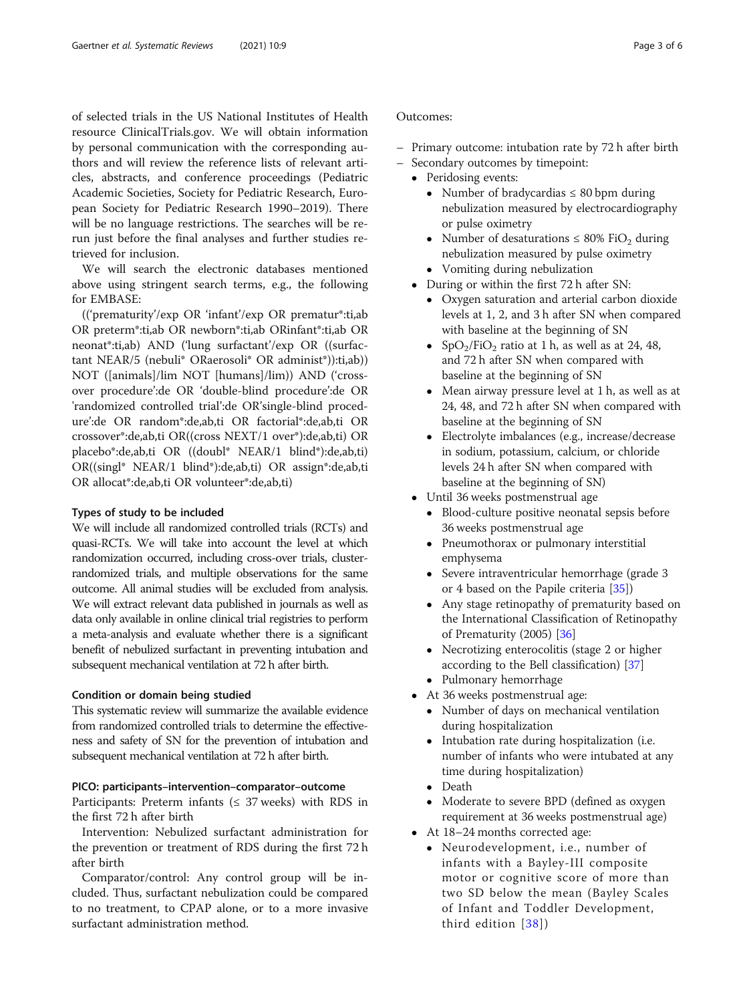of selected trials in the US National Institutes of Health resource ClinicalTrials.gov. We will obtain information by personal communication with the corresponding authors and will review the reference lists of relevant articles, abstracts, and conference proceedings (Pediatric Academic Societies, Society for Pediatric Research, European Society for Pediatric Research 1990–2019). There will be no language restrictions. The searches will be rerun just before the final analyses and further studies retrieved for inclusion.

We will search the electronic databases mentioned above using stringent search terms, e.g., the following for EMBASE:

(('prematurity'/exp OR 'infant'/exp OR prematur\*:ti,ab OR preterm\*:ti,ab OR newborn\*:ti,ab ORinfant\*:ti,ab OR neonat\*:ti,ab) AND ('lung surfactant'/exp OR ((surfactant NEAR/5 (nebuli\* ORaerosoli\* OR administ\*)):ti,ab)) NOT ([animals]/lim NOT [humans]/lim)) AND ('crossover procedure':de OR 'double-blind procedure':de OR 'randomized controlled trial':de OR'single-blind procedure':de OR random\*:de,ab,ti OR factorial\*:de,ab,ti OR crossover\*:de,ab,ti OR((cross NEXT/1 over\*):de,ab,ti) OR placebo\*:de,ab,ti OR ((doubl\* NEAR/1 blind\*):de,ab,ti) OR((singl\* NEAR/1 blind\*):de,ab,ti) OR assign\*:de,ab,ti OR allocat\*:de,ab,ti OR volunteer\*:de,ab,ti)

#### Types of study to be included

We will include all randomized controlled trials (RCTs) and quasi-RCTs. We will take into account the level at which randomization occurred, including cross-over trials, clusterrandomized trials, and multiple observations for the same outcome. All animal studies will be excluded from analysis. We will extract relevant data published in journals as well as data only available in online clinical trial registries to perform a meta-analysis and evaluate whether there is a significant benefit of nebulized surfactant in preventing intubation and subsequent mechanical ventilation at 72 h after birth.

#### Condition or domain being studied

This systematic review will summarize the available evidence from randomized controlled trials to determine the effectiveness and safety of SN for the prevention of intubation and subsequent mechanical ventilation at 72 h after birth.

#### PICO: participants–intervention–comparator–outcome

Participants: Preterm infants ( $\leq$  37 weeks) with RDS in the first 72 h after birth

Intervention: Nebulized surfactant administration for the prevention or treatment of RDS during the first 72 h after birth

Comparator/control: Any control group will be included. Thus, surfactant nebulization could be compared to no treatment, to CPAP alone, or to a more invasive surfactant administration method.

### Outcomes:

- Primary outcome: intubation rate by 72 h after birth
	- Secondary outcomes by timepoint:
	- Peridosing events:
		- Number of bradycardias  $\leq 80$  bpm during nebulization measured by electrocardiography or pulse oximetry
		- Number of desaturations  $\leq 80\%$  FiO<sub>2</sub> during nebulization measured by pulse oximetry
		- Vomiting during nebulization
	- During or within the first 72 h after SN:
		- Oxygen saturation and arterial carbon dioxide levels at 1, 2, and 3 h after SN when compared with baseline at the beginning of SN
		- SpO<sub>2</sub>/FiO<sub>2</sub> ratio at 1 h, as well as at 24, 48, and 72 h after SN when compared with baseline at the beginning of SN
		- Mean airway pressure level at 1 h, as well as at 24, 48, and 72 h after SN when compared with baseline at the beginning of SN
		- Electrolyte imbalances (e.g., increase/decrease in sodium, potassium, calcium, or chloride levels 24 h after SN when compared with baseline at the beginning of SN)
	- Until 36 weeks postmenstrual age
		- Blood-culture positive neonatal sepsis before 36 weeks postmenstrual age
		- Pneumothorax or pulmonary interstitial emphysema
		- Severe intraventricular hemorrhage (grade 3 or 4 based on the Papile criteria [[35](#page-5-0)])
		- Any stage retinopathy of prematurity based on the International Classification of Retinopathy of Prematurity (2005) [[36](#page-5-0)]
		- Necrotizing enterocolitis (stage 2 or higher according to the Bell classification) [[37](#page-5-0)]
		- Pulmonary hemorrhage
	- At 36 weeks postmenstrual age:
		- Number of days on mechanical ventilation during hospitalization
		- Intubation rate during hospitalization (i.e. number of infants who were intubated at any time during hospitalization)
		- Death
		- Moderate to severe BPD (defined as oxygen requirement at 36 weeks postmenstrual age)
	- At 18–24 months corrected age:
		- Neurodevelopment, i.e., number of infants with a Bayley-III composite motor or cognitive score of more than two SD below the mean (Bayley Scales of Infant and Toddler Development, third edition [[38\]](#page-5-0))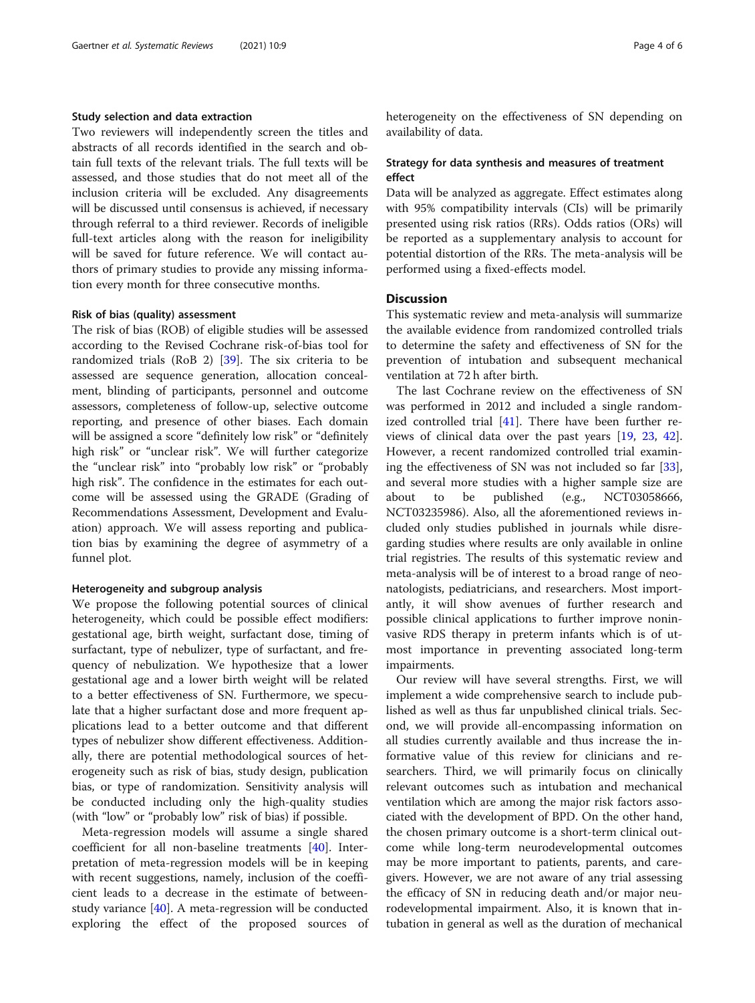#### Study selection and data extraction

Two reviewers will independently screen the titles and abstracts of all records identified in the search and obtain full texts of the relevant trials. The full texts will be assessed, and those studies that do not meet all of the inclusion criteria will be excluded. Any disagreements will be discussed until consensus is achieved, if necessary through referral to a third reviewer. Records of ineligible full-text articles along with the reason for ineligibility will be saved for future reference. We will contact authors of primary studies to provide any missing information every month for three consecutive months.

#### Risk of bias (quality) assessment

The risk of bias (ROB) of eligible studies will be assessed according to the Revised Cochrane risk-of-bias tool for randomized trials (RoB 2) [[39](#page-5-0)]. The six criteria to be assessed are sequence generation, allocation concealment, blinding of participants, personnel and outcome assessors, completeness of follow-up, selective outcome reporting, and presence of other biases. Each domain will be assigned a score "definitely low risk" or "definitely high risk" or "unclear risk". We will further categorize the "unclear risk" into "probably low risk" or "probably high risk". The confidence in the estimates for each outcome will be assessed using the GRADE (Grading of Recommendations Assessment, Development and Evaluation) approach. We will assess reporting and publication bias by examining the degree of asymmetry of a funnel plot.

#### Heterogeneity and subgroup analysis

We propose the following potential sources of clinical heterogeneity, which could be possible effect modifiers: gestational age, birth weight, surfactant dose, timing of surfactant, type of nebulizer, type of surfactant, and frequency of nebulization. We hypothesize that a lower gestational age and a lower birth weight will be related to a better effectiveness of SN. Furthermore, we speculate that a higher surfactant dose and more frequent applications lead to a better outcome and that different types of nebulizer show different effectiveness. Additionally, there are potential methodological sources of heterogeneity such as risk of bias, study design, publication bias, or type of randomization. Sensitivity analysis will be conducted including only the high-quality studies (with "low" or "probably low" risk of bias) if possible.

Meta-regression models will assume a single shared coefficient for all non-baseline treatments [\[40](#page-5-0)]. Interpretation of meta-regression models will be in keeping with recent suggestions, namely, inclusion of the coefficient leads to a decrease in the estimate of betweenstudy variance [\[40](#page-5-0)]. A meta-regression will be conducted exploring the effect of the proposed sources of heterogeneity on the effectiveness of SN depending on availability of data.

#### Strategy for data synthesis and measures of treatment effect

Data will be analyzed as aggregate. Effect estimates along with 95% compatibility intervals (CIs) will be primarily presented using risk ratios (RRs). Odds ratios (ORs) will be reported as a supplementary analysis to account for potential distortion of the RRs. The meta-analysis will be performed using a fixed-effects model.

#### **Discussion**

This systematic review and meta-analysis will summarize the available evidence from randomized controlled trials to determine the safety and effectiveness of SN for the prevention of intubation and subsequent mechanical ventilation at 72 h after birth.

The last Cochrane review on the effectiveness of SN was performed in 2012 and included a single randomized controlled trial [[41\]](#page-5-0). There have been further reviews of clinical data over the past years [[19,](#page-4-0) [23,](#page-5-0) [42](#page-5-0)]. However, a recent randomized controlled trial examining the effectiveness of SN was not included so far [\[33](#page-5-0)], and several more studies with a higher sample size are about to be published (e.g., NCT03058666, NCT03235986). Also, all the aforementioned reviews included only studies published in journals while disregarding studies where results are only available in online trial registries. The results of this systematic review and meta-analysis will be of interest to a broad range of neonatologists, pediatricians, and researchers. Most importantly, it will show avenues of further research and possible clinical applications to further improve noninvasive RDS therapy in preterm infants which is of utmost importance in preventing associated long-term impairments.

Our review will have several strengths. First, we will implement a wide comprehensive search to include published as well as thus far unpublished clinical trials. Second, we will provide all-encompassing information on all studies currently available and thus increase the informative value of this review for clinicians and researchers. Third, we will primarily focus on clinically relevant outcomes such as intubation and mechanical ventilation which are among the major risk factors associated with the development of BPD. On the other hand, the chosen primary outcome is a short-term clinical outcome while long-term neurodevelopmental outcomes may be more important to patients, parents, and caregivers. However, we are not aware of any trial assessing the efficacy of SN in reducing death and/or major neurodevelopmental impairment. Also, it is known that intubation in general as well as the duration of mechanical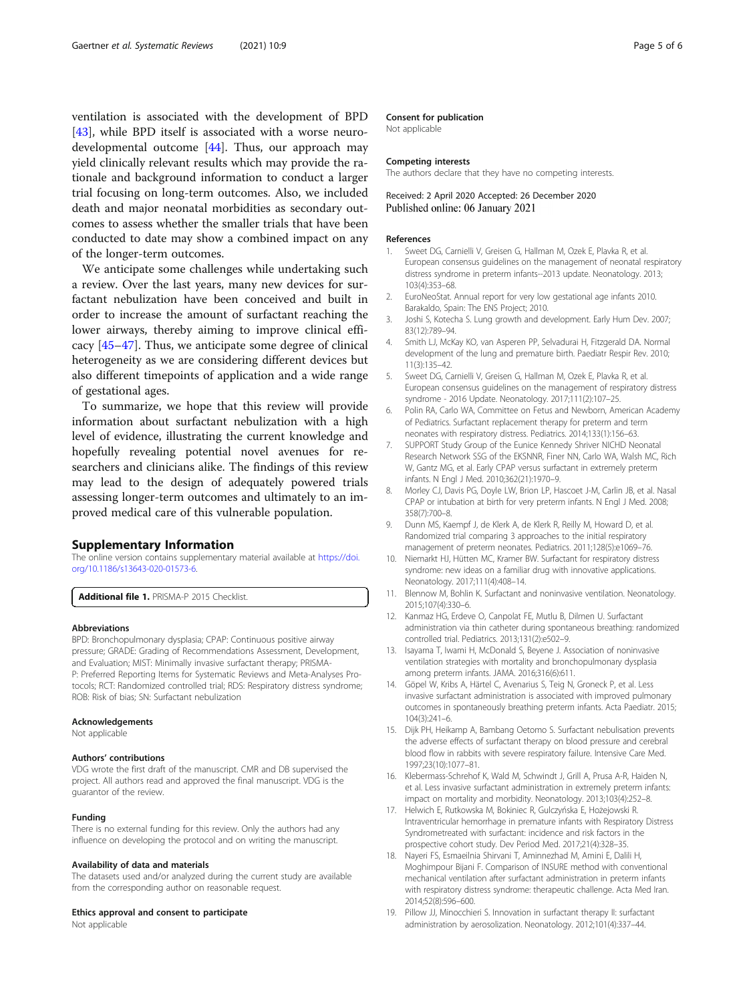<span id="page-4-0"></span>ventilation is associated with the development of BPD [[43\]](#page-5-0), while BPD itself is associated with a worse neurodevelopmental outcome [[44](#page-5-0)]. Thus, our approach may yield clinically relevant results which may provide the rationale and background information to conduct a larger trial focusing on long-term outcomes. Also, we included death and major neonatal morbidities as secondary outcomes to assess whether the smaller trials that have been conducted to date may show a combined impact on any of the longer-term outcomes.

We anticipate some challenges while undertaking such a review. Over the last years, many new devices for surfactant nebulization have been conceived and built in order to increase the amount of surfactant reaching the lower airways, thereby aiming to improve clinical efficacy [\[45](#page-5-0)–[47\]](#page-5-0). Thus, we anticipate some degree of clinical heterogeneity as we are considering different devices but also different timepoints of application and a wide range of gestational ages.

To summarize, we hope that this review will provide information about surfactant nebulization with a high level of evidence, illustrating the current knowledge and hopefully revealing potential novel avenues for researchers and clinicians alike. The findings of this review may lead to the design of adequately powered trials assessing longer-term outcomes and ultimately to an improved medical care of this vulnerable population.

#### Supplementary Information

The online version contains supplementary material available at [https://doi.](https://doi.org/10.1186/s13643-020-01573-6) [org/10.1186/s13643-020-01573-6.](https://doi.org/10.1186/s13643-020-01573-6)

Additional file 1. PRISMA-P 2015 Checklist.

#### Abbreviations

BPD: Bronchopulmonary dysplasia; CPAP: Continuous positive airway pressure; GRADE: Grading of Recommendations Assessment, Development, and Evaluation; MIST: Minimally invasive surfactant therapy; PRISMA-P: Preferred Reporting Items for Systematic Reviews and Meta-Analyses Protocols; RCT: Randomized controlled trial; RDS: Respiratory distress syndrome; ROB: Risk of bias; SN: Surfactant nebulization

#### Acknowledgements

Not applicable

#### Authors' contributions

VDG wrote the first draft of the manuscript. CMR and DB supervised the project. All authors read and approved the final manuscript. VDG is the guarantor of the review.

#### Funding

There is no external funding for this review. Only the authors had any influence on developing the protocol and on writing the manuscript.

#### Availability of data and materials

The datasets used and/or analyzed during the current study are available from the corresponding author on reasonable request.

#### Ethics approval and consent to participate

Not applicable

#### Consent for publication

Not applicable

#### Competing interests

The authors declare that they have no competing interests.

#### Received: 2 April 2020 Accepted: 26 December 2020 Published online: 06 January 2021

#### References

- 1. Sweet DG, Carnielli V, Greisen G, Hallman M, Ozek E, Plavka R, et al. European consensus guidelines on the management of neonatal respiratory distress syndrome in preterm infants--2013 update. Neonatology. 2013; 103(4):353–68.
- 2. EuroNeoStat. Annual report for very low gestational age infants 2010. Barakaldo, Spain: The ENS Project; 2010.
- 3. Joshi S, Kotecha S. Lung growth and development. Early Hum Dev. 2007; 83(12):789–94.
- 4. Smith LJ, McKay KO, van Asperen PP, Selvadurai H, Fitzgerald DA. Normal development of the lung and premature birth. Paediatr Respir Rev. 2010; 11(3):135–42.
- 5. Sweet DG, Carnielli V, Greisen G, Hallman M, Ozek E, Plavka R, et al. European consensus guidelines on the management of respiratory distress syndrome - 2016 Update. Neonatology. 2017;111(2):107–25.
- 6. Polin RA, Carlo WA, Committee on Fetus and Newborn, American Academy of Pediatrics. Surfactant replacement therapy for preterm and term neonates with respiratory distress. Pediatrics. 2014;133(1):156–63.
- 7. SUPPORT Study Group of the Eunice Kennedy Shriver NICHD Neonatal Research Network SSG of the EKSNNR, Finer NN, Carlo WA, Walsh MC, Rich W, Gantz MG, et al. Early CPAP versus surfactant in extremely preterm infants. N Engl J Med. 2010;362(21):1970–9.
- 8. Morley CJ, Davis PG, Doyle LW, Brion LP, Hascoet J-M, Carlin JB, et al. Nasal CPAP or intubation at birth for very preterm infants. N Engl J Med. 2008; 358(7):700–8.
- 9. Dunn MS, Kaempf J, de Klerk A, de Klerk R, Reilly M, Howard D, et al. Randomized trial comparing 3 approaches to the initial respiratory management of preterm neonates. Pediatrics. 2011;128(5):e1069–76.
- 10. Niemarkt HJ, Hütten MC, Kramer BW. Surfactant for respiratory distress syndrome: new ideas on a familiar drug with innovative applications. Neonatology. 2017;111(4):408–14.
- 11. Blennow M, Bohlin K. Surfactant and noninvasive ventilation. Neonatology. 2015;107(4):330–6.
- 12. Kanmaz HG, Erdeve O, Canpolat FE, Mutlu B, Dilmen U. Surfactant administration via thin catheter during spontaneous breathing: randomized controlled trial. Pediatrics. 2013;131(2):e502–9.
- 13. Isayama T, Iwami H, McDonald S, Beyene J. Association of noninvasive ventilation strategies with mortality and bronchopulmonary dysplasia among preterm infants. JAMA. 2016;316(6):611.
- 14. Göpel W, Kribs A, Härtel C, Avenarius S, Teig N, Groneck P, et al. Less invasive surfactant administration is associated with improved pulmonary outcomes in spontaneously breathing preterm infants. Acta Paediatr. 2015; 104(3):241–6.
- 15. Dijk PH, Heikamp A, Bambang Oetomo S. Surfactant nebulisation prevents the adverse effects of surfactant therapy on blood pressure and cerebral blood flow in rabbits with severe respiratory failure. Intensive Care Med. 1997;23(10):1077–81.
- 16. Klebermass-Schrehof K, Wald M, Schwindt J, Grill A, Prusa A-R, Haiden N, et al. Less invasive surfactant administration in extremely preterm infants: impact on mortality and morbidity. Neonatology. 2013;103(4):252–8.
- 17. Helwich E, Rutkowska M, Bokiniec R, Gulczyńska E, Hożejowski R. Intraventricular hemorrhage in premature infants with Respiratory Distress Syndrometreated with surfactant: incidence and risk factors in the prospective cohort study. Dev Period Med. 2017;21(4):328–35.
- 18. Nayeri FS, Esmaeilnia Shirvani T, Aminnezhad M, Amini E, Dalili H, Moghimpour Bijani F. Comparison of INSURE method with conventional mechanical ventilation after surfactant administration in preterm infants with respiratory distress syndrome: therapeutic challenge. Acta Med Iran. 2014;52(8):596–600.
- 19. Pillow JJ, Minocchieri S. Innovation in surfactant therapy II: surfactant administration by aerosolization. Neonatology. 2012;101(4):337–44.